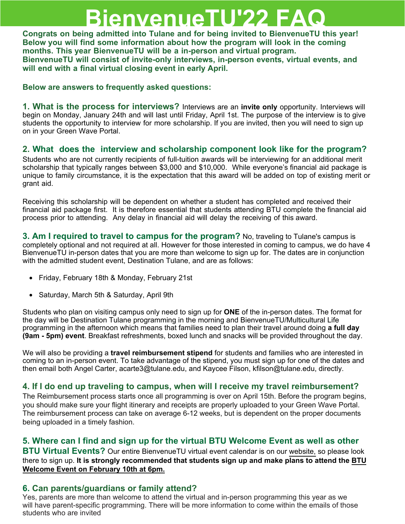# **BienvenueTU'22 FAQ**

**Congrats on being admitted into Tulane and for being invited to BienvenueTU this year! Below you will find some information about how the program will look in the coming months. This year BienvenueTU will be a in-person and virtual program. BienvenueTU will consist of invite-only interviews, in-person events, virtual events, and will end with a final virtual closing event in early April.** 

**Below are answers to frequently asked questions:**

**1. What is the process for interviews?** Interviews are an **invite only** opportunity. Interviews will begin on Monday, January 24th and will last until Friday, April 1st. The purpose of the interview is to give students the opportunity to interview for more scholarship. If you are invited, then you will need to sign up on in your Green Wave Portal.

## **2. What does the interview and scholarship component look like for the program?**

Students who are not currently recipients of full-tuition awards will be interviewing for an additional merit scholarship that typically ranges between \$3,000 and \$10,000. While everyone's financial aid package is unique to family circumstance, it is the expectation that this award will be added on top of existing merit or grant aid.

Receiving this scholarship will be dependent on whether a student has completed and received their financial aid package first. It is therefore essential that students attending BTU complete the financial aid process prior to attending. Any delay in financial aid will delay the receiving of this award.

**3. Am I required to travel to campus for the program?** No, traveling to Tulane's campus is completely optional and not required at all. However for those interested in coming to campus, we do have 4 BienvenueTU in-person dates that you are more than welcome to sign up for. The dates are in conjunction with the admitted student event, Destination Tulane, and are as follows:

- Friday, February 18th & Monday, February 21st
- Saturday, March 5th & Saturday, April 9th

Students who plan on visiting campus only need to sign up for **ONE** of the in-person dates. The format for the day will be Destination Tulane programming in the morning and BienvenueTU/Multicultural Life programming in the afternoon which means that families need to plan their travel around doing **a full day (9am - 5pm) event**. Breakfast refreshments, boxed lunch and snacks will be provided throughout the day.

We will also be providing a **travel reimbursement stipend** for students and families who are interested in coming to an in-person event. To take advantage of the stipend, you must sign up for one of the dates and then email both Angel Carter, acarte3@tulane.edu, and Kaycee Filson, kfilson@tulane.edu, directly.

## **4. If I do end up traveling to campus, when will I receive my travel reimbursement?**

The Reimbursement process starts once all programming is over on April 15th. Before the program begins, you should make sure your flight itinerary and receipts are properly uploaded to your Green Wave Portal. The reimbursement process can take on average 6-12 weeks, but is dependent on the proper documents being uploaded in a timely fashion.

## **5. Where can I find and sign up for the virtual BTU Welcome Event as well as other**

**BTU Virtual Events?** Our entire BienvenueTU virtual event calendar is on our [website,](https://admission.tulane.edu/student-life/diversity/multicultural-access-programs) so please look there to sign up. **It is strongly recommended that students sign up and make plans to attend the BTU Welcome Event on February 10th at 6pm.**

## **6. Can parents/guardians or family attend?**

Yes, parents are more than welcome to attend the virtual and in-person programming this year as we will have parent-specific programming. There will be more information to come within the emails of those students who are invited